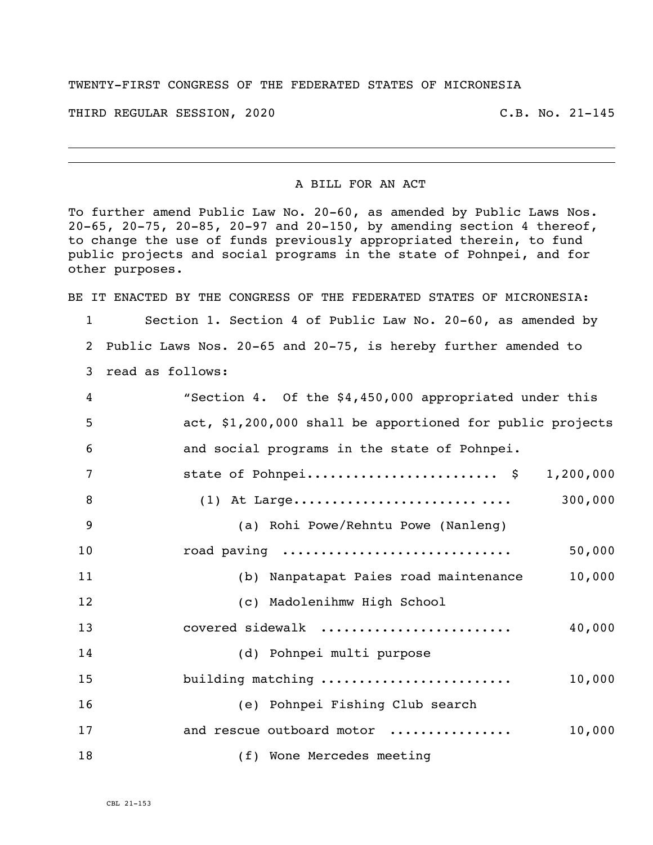## TWENTY-FIRST CONGRESS OF THE FEDERATED STATES OF MICRONESIA

THIRD REGULAR SESSION, 2020 C.B. No. 21-145

## A BILL FOR AN ACT

To further amend Public Law No. 20-60, as amended by Public Laws Nos. 20-65, 20-75, 20-85, 20-97 and 20-150, by amending section 4 thereof, to change the use of funds previously appropriated therein, to fund public projects and social programs in the state of Pohnpei, and for other purposes.

BE IT ENACTED BY THE CONGRESS OF THE FEDERATED STATES OF MICRONESIA:

 Section 1. Section 4 of Public Law No. 20-60, as amended by Public Laws Nos. 20-65 and 20-75, is hereby further amended to read as follows:

| $\overline{4}$ | "Section 4. Of the \$4,450,000 appropriated under this    |
|----------------|-----------------------------------------------------------|
| 5              | act, \$1,200,000 shall be apportioned for public projects |
| 6              | and social programs in the state of Pohnpei.              |
| 7              | state of Pohnpei \$ 1,200,000                             |
| 8              |                                                           |
| 9              | (a) Rohi Powe/Rehntu Powe (Nanleng)                       |
| 10             | road paving<br>50,000                                     |
| 11             | 10,000<br>(b) Nanpatapat Paies road maintenance           |
| 12             | (c) Madolenihmw High School                               |
| 13             | covered sidewalk<br>40,000                                |
| 14             | (d) Pohnpei multi purpose                                 |
| 15             | building matching<br>10,000                               |
| 16             | (e) Pohnpei Fishing Club search                           |
| 17             | and rescue outboard motor<br>10,000                       |
| 18             | (f) Wone Mercedes meeting                                 |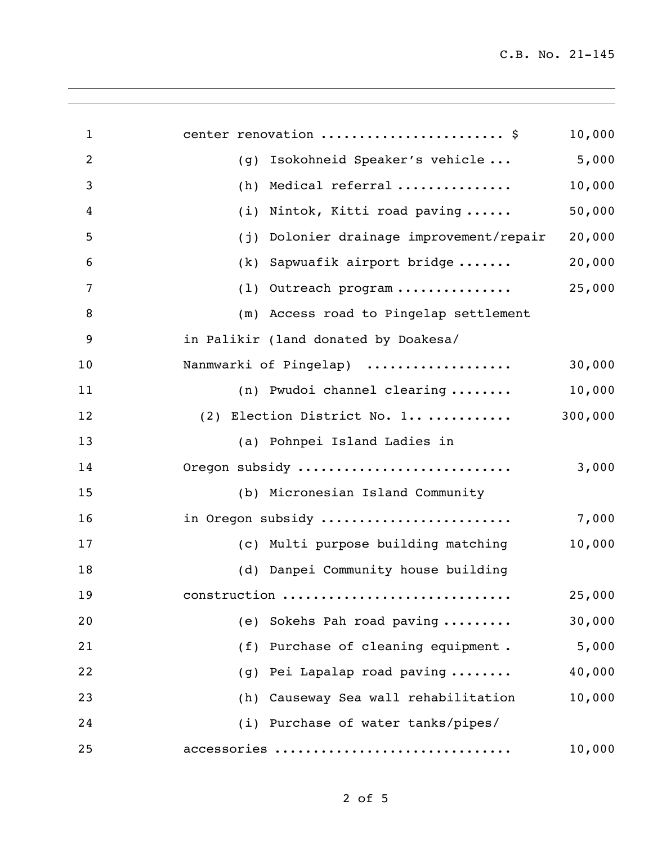| $\mathbf{1}$   | center renovation  \$                       | 10,000 |
|----------------|---------------------------------------------|--------|
| $\overline{2}$ | Isokohneid Speaker's vehicle<br>(g)         | 5,000  |
| 3              | Medical referral<br>(h)                     | 10,000 |
| 4              | Nintok, Kitti road paving<br>(i)            | 50,000 |
| 5              | Dolonier drainage improvement/repair<br>(j) | 20,000 |
| 6              | Sapwuafik airport bridge<br>(k)             | 20,000 |
| 7              | Outreach program<br>(1)                     | 25,000 |
| 8              | (m) Access road to Pingelap settlement      |        |
| 9              | in Palikir (land donated by Doakesa/        |        |
| 10             | Nanmwarki of Pingelap)                      | 30,000 |
| 11             | (n) Pwudoi channel clearing                 | 10,000 |
| 12             | (2) Election District No. 1 300,000         |        |
| 13             | (a) Pohnpei Island Ladies in                |        |
| 14             | Oregon subsidy                              | 3,000  |
| 15             | (b) Micronesian Island Community            |        |
| 16             | in Oregon subsidy                           | 7,000  |
| 17             | (c) Multi purpose building matching         | 10,000 |
| 18             | (d) Danpei Community house building         |        |
| 19             | construction                                | 25,000 |
| 20             | (e) Sokehs Pah road paving                  | 30,000 |
| 21             | (f) Purchase of cleaning equipment.         | 5,000  |
| 22             | (g) Pei Lapalap road paving                 | 40,000 |
| 23             | (h) Causeway Sea wall rehabilitation        | 10,000 |
| 24             | (i) Purchase of water tanks/pipes/          |        |
| 25             | accessories                                 | 10,000 |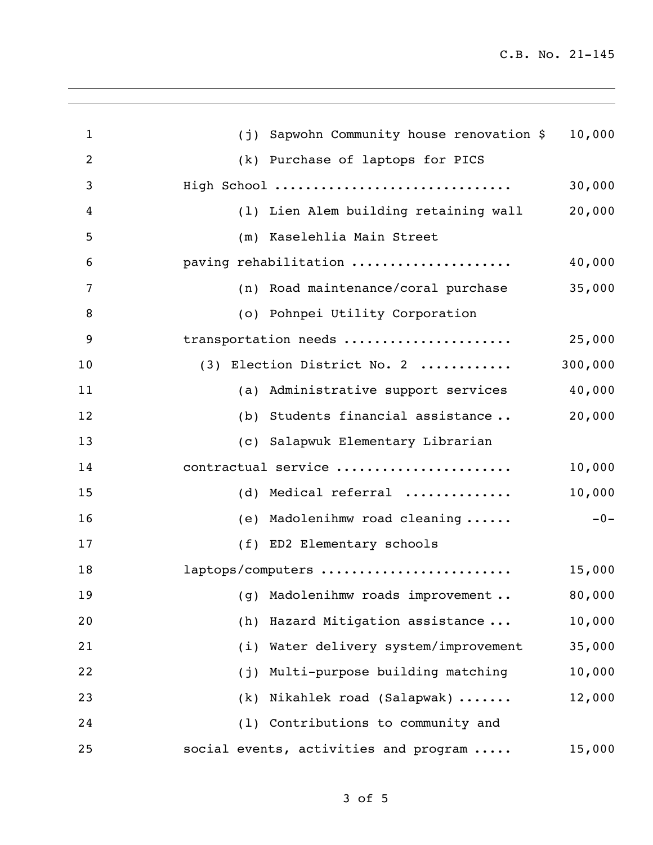C.B. No. 21-145

| $\mathbf{1}$ | Sapwohn Community house renovation \$<br>(i) | 10,000 |
|--------------|----------------------------------------------|--------|
| 2            | (k) Purchase of laptops for PICS             |        |
| 3            | High School                                  | 30,000 |
| 4            | (1) Lien Alem building retaining wall        | 20,000 |
| 5            | (m) Kaselehlia Main Street                   |        |
| 6            | paving rehabilitation                        | 40,000 |
| 7            | (n) Road maintenance/coral purchase          | 35,000 |
| 8            | (o) Pohnpei Utility Corporation              |        |
| 9            | transportation needs                         | 25,000 |
| 10           | 300,000<br>(3) Election District No. 2       |        |
| 11           | (a) Administrative support services          | 40,000 |
| 12           | (b) Students financial assistance            | 20,000 |
| 13           | (c) Salapwuk Elementary Librarian            |        |
| 14           | contractual service                          | 10,000 |
| 15           | (d) Medical referral $\ldots \ldots \ldots$  | 10,000 |
| 16           | (e) Madolenihmw road cleaning                | $-0-$  |
| 17           | (f) ED2 Elementary schools                   |        |
| 18           | laptops/computers                            | 15,000 |
| 19           | (g) Madolenihmw roads improvement            | 80,000 |
| 20           | Hazard Mitigation assistance<br>(h)          | 10,000 |
| 21           | (i) Water delivery system/improvement        | 35,000 |
| 22           | Multi-purpose building matching<br>(j)       | 10,000 |
| 23           | (k) Nikahlek road (Salapwak)                 | 12,000 |
| 24           | (1) Contributions to community and           |        |
| 25           | social events, activities and program        | 15,000 |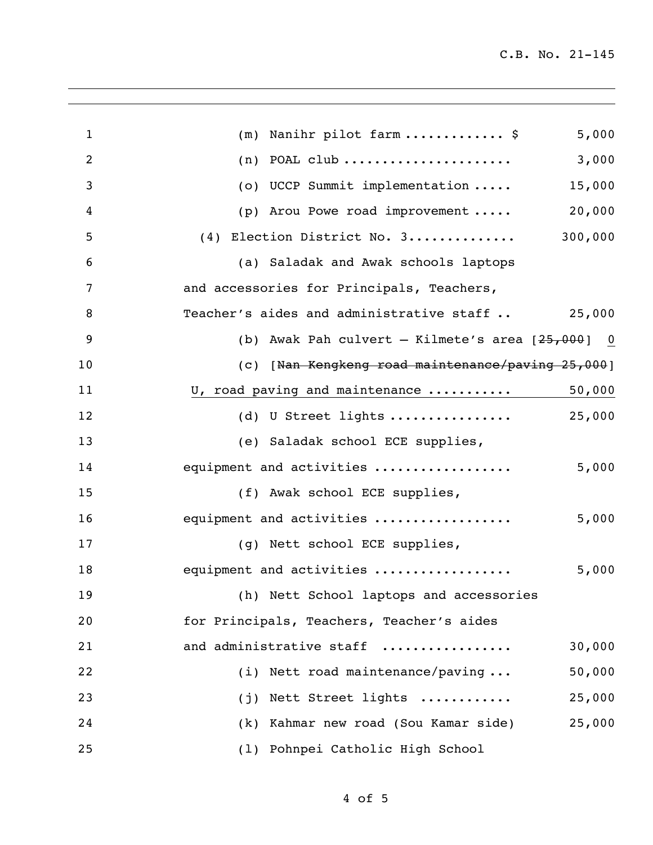| $\mathbf{1}$   | 5,000<br>Nanihr pilot farm \$<br>(m)                 |
|----------------|------------------------------------------------------|
| $\overline{2}$ | 3,000<br>$(n)$ POAL club                             |
| 3              | 15,000<br>(o) UCCP Summit implementation             |
| 4              | 20,000<br>(p) Arou Powe road improvement $\ldots$ .  |
| 5              | 300,000<br>(4) Election District No. 3               |
| 6              | (a) Saladak and Awak schools laptops                 |
| 7              | and accessories for Principals, Teachers,            |
| 8              | Teacher's aides and administrative staff<br>25,000   |
| 9              | (b) Awak Pah culvert $-$ Kilmete's area $[25,000]$ 0 |
| 10             | (c) [Nan Kengkeng road maintenance/paving 25,000]    |
| 11             | U, road paving and maintenance<br>50,000             |
| 12             | 25,000<br>(d) U Street lights                        |
| 13             | (e) Saladak school ECE supplies,                     |
| 14             | equipment and activities<br>5,000                    |
| 15             | (f) Awak school ECE supplies,                        |
| 16             | equipment and activities<br>5,000                    |
| 17             | (g) Nett school ECE supplies,                        |
| 18             | equipment and activities<br>5,000                    |
| 19             | (h) Nett School laptops and accessories              |
| 20             | for Principals, Teachers, Teacher's aides            |
| 21             | and administrative staff<br>30,000                   |
| 22             | (i) Nett road maintenance/paving<br>50,000           |
| 23             | (j) Nett Street lights<br>25,000                     |
| 24             | (k) Kahmar new road (Sou Kamar side)<br>25,000       |
| 25             | (1) Pohnpei Catholic High School                     |